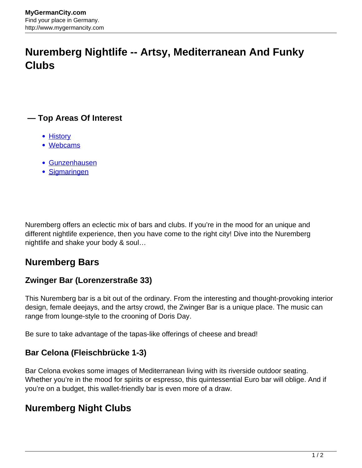# **Nuremberg Nightlife -- Artsy, Mediterranean And Funky Clubs**

# **— Top Areas Of Interest**

- **[History](http://www.mygermancity.com/leipzig-history)**
- [Webcams](http://www.mygermancity.com/neustadt-holstein-webcams)
- [Gunzenhausen](http://www.mygermancity.com/gunzenhausen)
- [Sigmaringen](http://www.mygermancity.com/sigmaringen)

Nuremberg offers an eclectic mix of bars and clubs. If you're in the mood for an unique and different nightlife experience, then you have come to the right city! Dive into the Nuremberg nightlife and shake your body & soul…

# **Nuremberg Bars**

# **Zwinger Bar (Lorenzerstraße 33)**

This Nuremberg bar is a bit out of the ordinary. From the interesting and thought-provoking interior design, female deejays, and the artsy crowd, the Zwinger Bar is a unique place. The music can range from lounge-style to the crooning of Doris Day.

Be sure to take advantage of the tapas-like offerings of cheese and bread!

#### **Bar Celona (Fleischbrücke 1-3)**

Bar Celona evokes some images of Mediterranean living with its riverside outdoor seating. Whether you're in the mood for spirits or espresso, this quintessential Euro bar will oblige. And if you're on a budget, this wallet-friendly bar is even more of a draw.

# **Nuremberg Night Clubs**